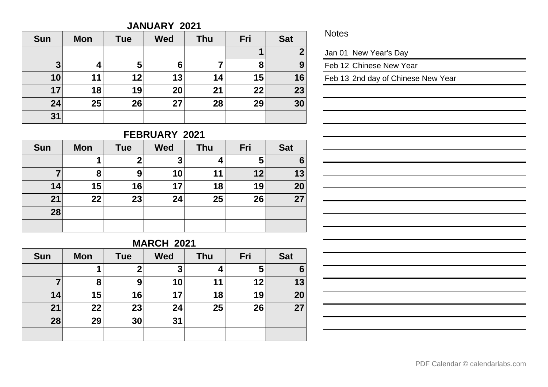#### **JANUARY 2021**

| <b>Sun</b> | <b>Mon</b> | <b>Tue</b> | <b>Wed</b> | Thu | Fri | <b>Sat</b> |
|------------|------------|------------|------------|-----|-----|------------|
|            |            |            |            |     |     | ◠          |
| 3          | 4          | 5          | 6          | 7   | 8   | 9          |
| 10         | 11         | 12         | 13         | 14  | 15  | 16         |
| 17         | 18         | 19         | 20         | 21  | 22  | 23         |
| 24         | 25         | 26         | 27         | 28  | 29  | 30         |
| 31         |            |            |            |     |     |            |

#### **Notes**

Jan 01 New Year's Day

Feb 12 Chinese New Year

Feb 13 2nd day of Chinese New Year

# **FEBRUARY 2021**

| <b>Sun</b> | <b>Mon</b> | <b>Tue</b>  | <b>Wed</b> | <b>Thu</b> | Fri | <b>Sat</b> |
|------------|------------|-------------|------------|------------|-----|------------|
|            |            | $\mathbf 2$ | 3          | 4          | 5   | 6          |
|            | 8          | 9           | 10         | 11         | 12  | 13         |
| 14         | 15         | 16          | 17         | 18         | 19  | 20         |
| 21         | 22         | 23          | 24         | 25         | 26  | 27         |
| 28         |            |             |            |            |     |            |
|            |            |             |            |            |     |            |

## **MARCH 2021**

| <b>Sun</b> | <b>Mon</b> | <b>Tue</b> | <b>Wed</b> | <b>Thu</b> | Fri | <b>Sat</b> |
|------------|------------|------------|------------|------------|-----|------------|
|            | 1          | 2          | 3          | 4          | 5   | 6          |
|            | 8          | 9          | 10         | 11         | 12  | 13         |
| 14         | 15         | 16         | 17         | 18         | 19  | 20         |
| 21         | 22         | 23         | 24         | 25         | 26  | 27         |
| 28         | 29         | 30         | 31         |            |     |            |
|            |            |            |            |            |     |            |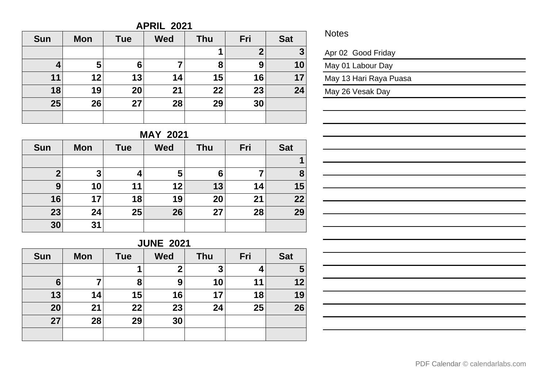#### **APRIL 2021**

| <b>Sun</b> | <b>Mon</b> | <b>Tue</b> | <b>Wed</b> | <b>Thu</b> | Fri              | <b>Sat</b>   |
|------------|------------|------------|------------|------------|------------------|--------------|
|            |            |            |            | 1          | $\boldsymbol{2}$ | $\mathbf{3}$ |
|            | 5          | 6          |            | 8          | 9                | 10           |
| 11         | 12         | 13         | 14         | 15         | 16               | 17           |
| 18         | 19         | 20         | 21         | 22         | 23               | 24           |
| 25         | 26         | 27         | 28         | 29         | 30               |              |
|            |            |            |            |            |                  |              |

#### **Notes**

Apr 02 Good Friday

May 01 Labour Day

May 13 Hari Raya Puasa

May 26 Vesak Day

# **MAY 2021**

| <b>Sun</b>       | <b>Mon</b> | <b>Tue</b> | <b>Wed</b> | <b>Thu</b> | Fri | <b>Sat</b> |
|------------------|------------|------------|------------|------------|-----|------------|
|                  |            |            |            |            |     |            |
| $\boldsymbol{2}$ | 3          |            | 5          | 6          |     | 8          |
| 9                | 10         | 11         | 12         | 13         | 14  | 15         |
| 16               | 17         | 18         | 19         | 20         | 21  | 22         |
| 23               | 24         | 25         | 26         | 27         | 28  | 29         |
| 30               | 31         |            |            |            |     |            |

## **JUNE 2021**

| <b>Sun</b> | <b>Mon</b> | <b>Tue</b> | <b>Wed</b> | <b>Thu</b> | Fri | <b>Sat</b> |
|------------|------------|------------|------------|------------|-----|------------|
|            |            |            | 2          | 3          |     | 5          |
| 6          | 7          | 8          | 9          | 10         | 11  | 12         |
| 13         | 14         | 15         | 16         | 17         | 18  | 19         |
| 20         | 21         | 22         | 23         | 24         | 25  | 26         |
| 27         | 28         | 29         | 30         |            |     |            |
|            |            |            |            |            |     |            |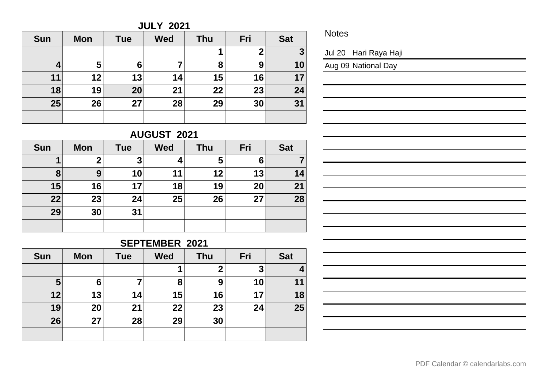**JULY 2021**

| <b>Sun</b> | <b>Mon</b> | <b>Tue</b> | <b>Wed</b> | Thu | Fri | <b>Sat</b> |
|------------|------------|------------|------------|-----|-----|------------|
|            |            |            |            |     | 2   | 3          |
| 4          | 5          | 6          |            | 8   | 9   | 10         |
| 11         | 12         | 13         | 14         | 15  | 16  | 17         |
| 18         | 19         | 20         | 21         | 22  | 23  | 24         |
| 25         | 26         | 27         | 28         | 29  | 30  | 31         |
|            |            |            |            |     |     |            |

**Notes** 

Jul 20 Hari Raya Haji

Aug 09 National Day

# **AUGUST 2021**

| <b>Sun</b> | <b>Mon</b>  | <b>Tue</b> | <b>Wed</b> | <b>Thu</b> | Fri | <b>Sat</b> |
|------------|-------------|------------|------------|------------|-----|------------|
|            | $\mathbf 2$ | 3          |            | 5          | 6   |            |
| 8          | 9           | 10         | 11         | 12         | 13  | 14         |
| 15         | 16          | 17         | 18         | 19         | 20  | 21         |
| 22         | 23          | 24         | 25         | 26         | 27  | 28         |
| 29         | 30          | 31         |            |            |     |            |
|            |             |            |            |            |     |            |

## **SEPTEMBER 2021**

| <b>Sun</b> | <b>Mon</b> | <b>Tue</b> | <b>Wed</b> | <b>Thu</b> | Fri | <b>Sat</b> |
|------------|------------|------------|------------|------------|-----|------------|
|            |            |            |            | 2          | 3   |            |
| 5          | 6          |            | 8          | 9          | 10  | 11         |
| 12         | 13         | 14         | 15         | 16         | 17  | 18         |
| 19         | 20         | 21         | 22         | 23         | 24  | 25         |
| 26         | 27         | 28         | 29         | 30         |     |            |
|            |            |            |            |            |     |            |

|  |  |  |  | PDF Calendar © calendarlabs.com |
|--|--|--|--|---------------------------------|
|--|--|--|--|---------------------------------|